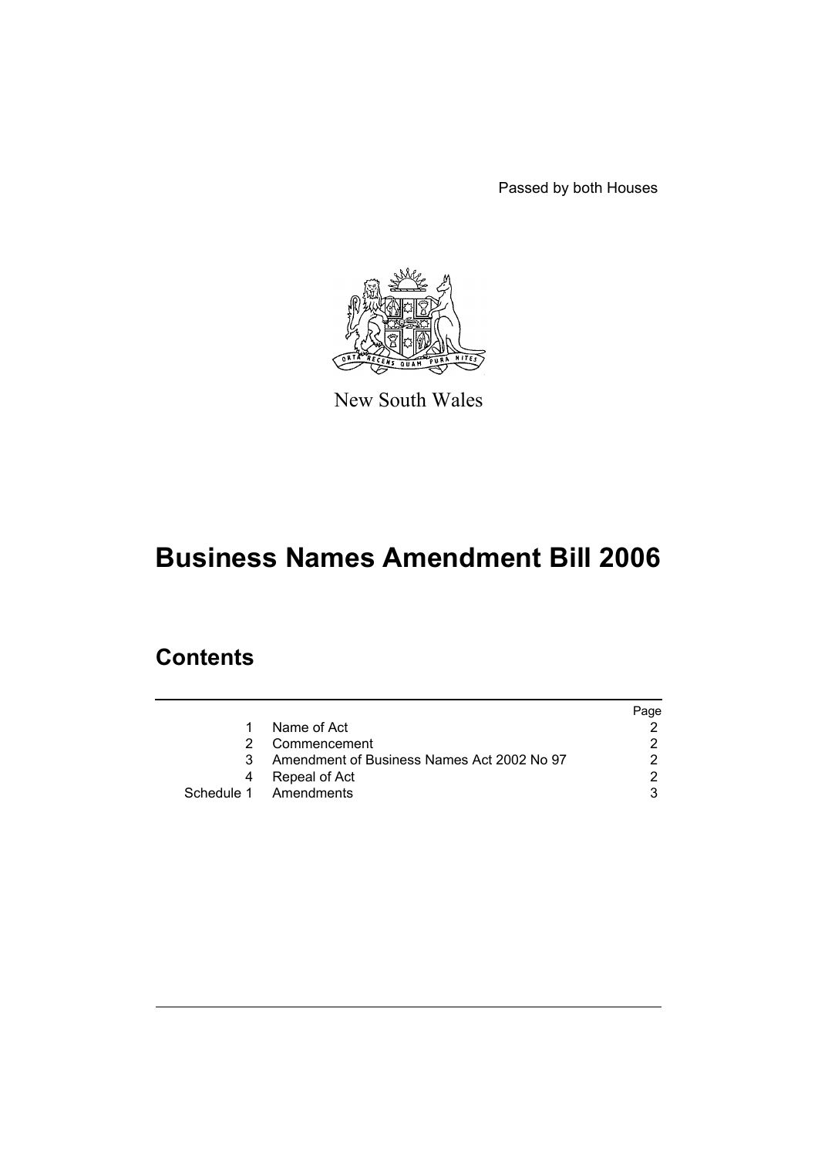Passed by both Houses



New South Wales

# **Business Names Amendment Bill 2006**

### **Contents**

|   |                                            | Page |
|---|--------------------------------------------|------|
| 1 | Name of Act                                |      |
|   | Commencement                               |      |
| 3 | Amendment of Business Names Act 2002 No 97 |      |
| 4 | Repeal of Act                              |      |
|   | Schedule 1 Amendments                      |      |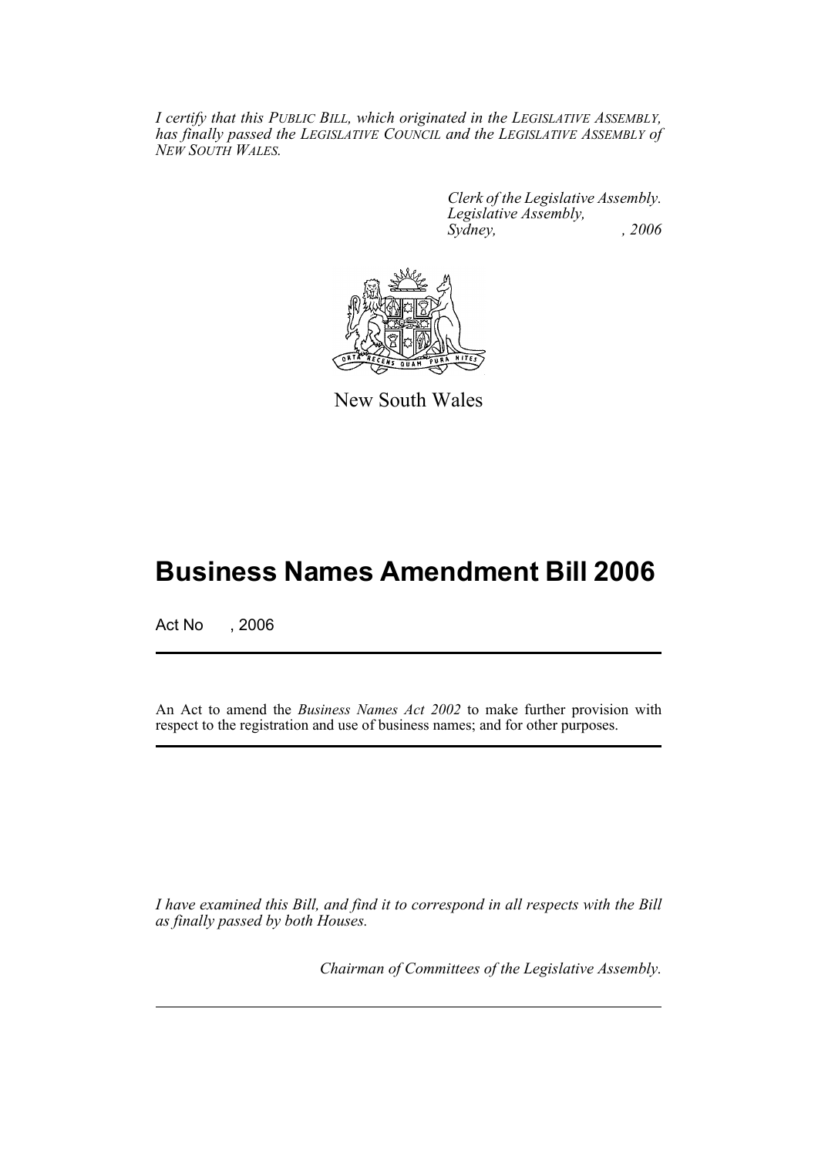*I certify that this PUBLIC BILL, which originated in the LEGISLATIVE ASSEMBLY, has finally passed the LEGISLATIVE COUNCIL and the LEGISLATIVE ASSEMBLY of NEW SOUTH WALES.*

> *Clerk of the Legislative Assembly. Legislative Assembly, Sydney, , 2006*



New South Wales

## **Business Names Amendment Bill 2006**

Act No , 2006

An Act to amend the *Business Names Act 2002* to make further provision with respect to the registration and use of business names; and for other purposes.

*I have examined this Bill, and find it to correspond in all respects with the Bill as finally passed by both Houses.*

*Chairman of Committees of the Legislative Assembly.*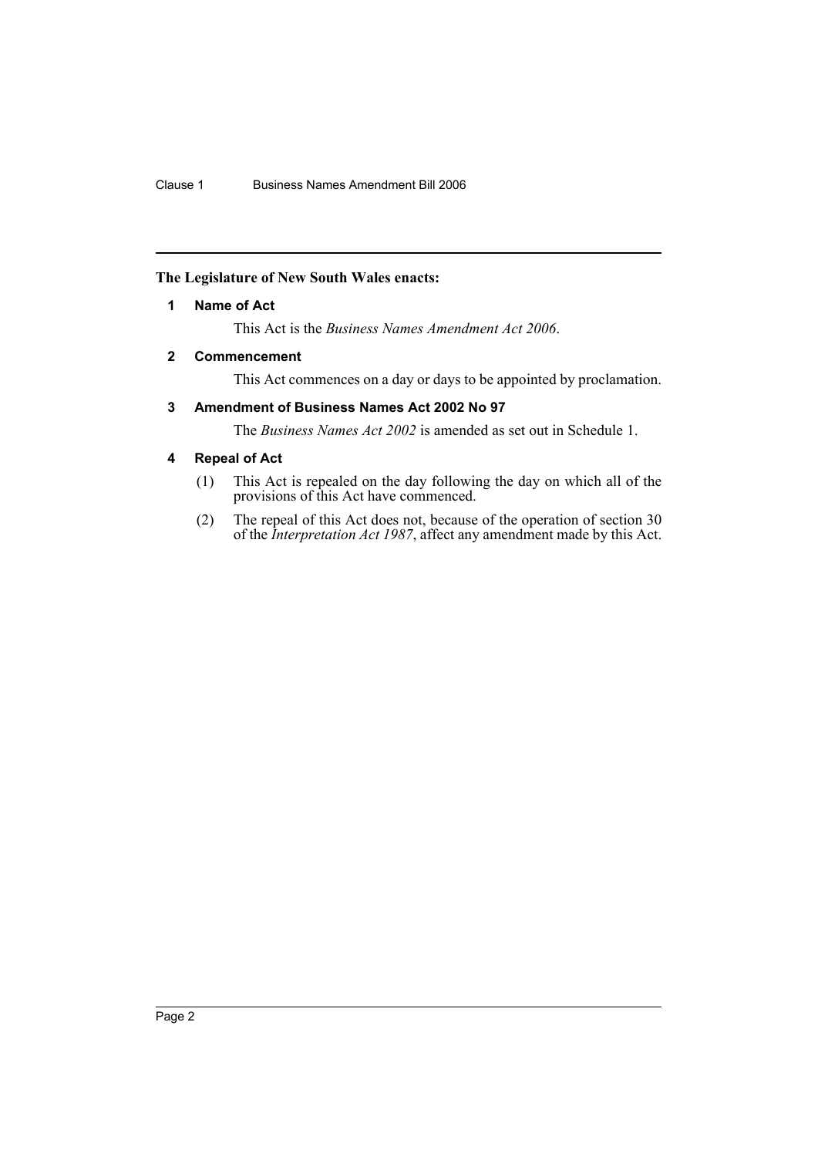#### **The Legislature of New South Wales enacts:**

#### **1 Name of Act**

This Act is the *Business Names Amendment Act 2006*.

#### **2 Commencement**

This Act commences on a day or days to be appointed by proclamation.

#### **3 Amendment of Business Names Act 2002 No 97**

The *Business Names Act 2002* is amended as set out in Schedule 1.

#### **4 Repeal of Act**

- (1) This Act is repealed on the day following the day on which all of the provisions of this Act have commenced.
- (2) The repeal of this Act does not, because of the operation of section 30 of the *Interpretation Act 1987*, affect any amendment made by this Act.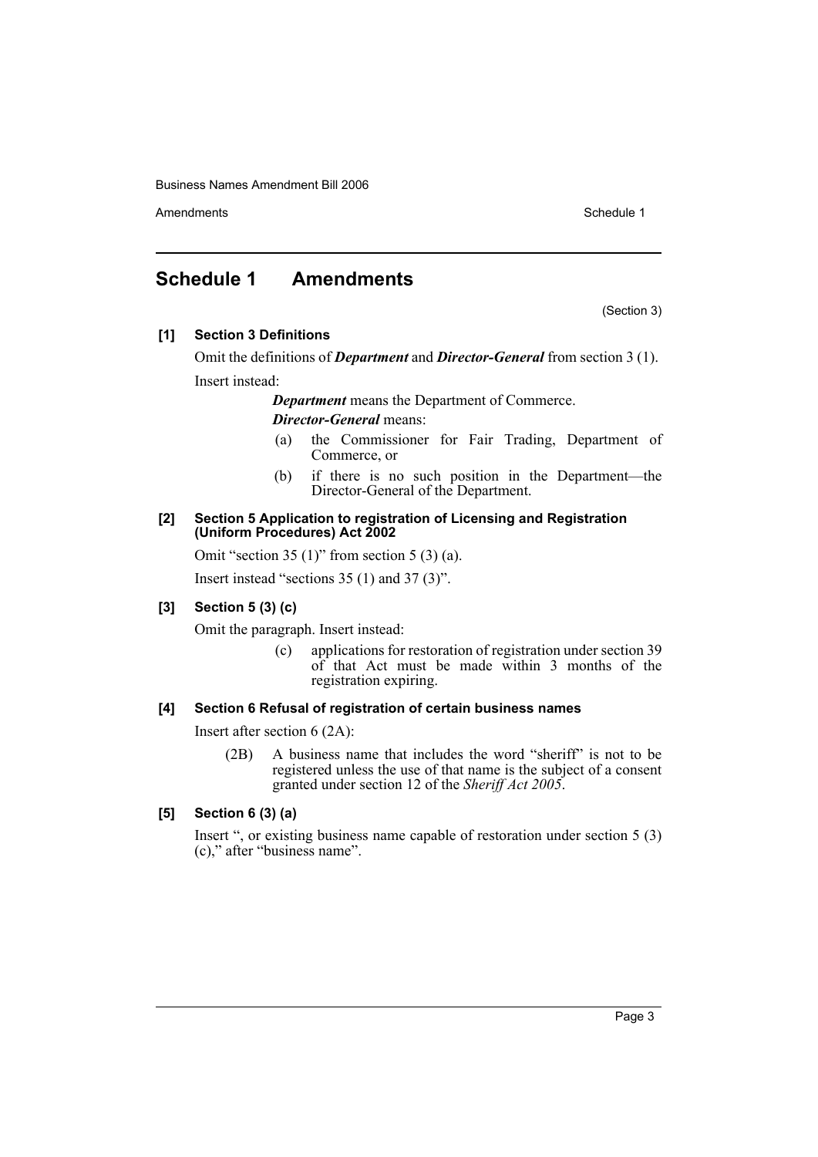Business Names Amendment Bill 2006

Amendments **Schedule 1** and the set of the set of the set of the set of the set of the set of the set of the set of the set of the set of the set of the set of the set of the set of the set of the set of the set of the set

### **Schedule 1 Amendments**

(Section 3)

**[1] Section 3 Definitions**

Omit the definitions of *Department* and *Director-General* from section 3 (1). Insert instead:

*Department* means the Department of Commerce.

#### *Director-General* means:

- (a) the Commissioner for Fair Trading, Department of Commerce, or
- (b) if there is no such position in the Department—the Director-General of the Department.

#### **[2] Section 5 Application to registration of Licensing and Registration (Uniform Procedures) Act 2002**

Omit "section 35  $(1)$ " from section 5  $(3)$   $(a)$ .

Insert instead "sections 35 (1) and 37 (3)".

#### **[3] Section 5 (3) (c)**

Omit the paragraph. Insert instead:

(c) applications for restoration of registration under section 39 of that Act must be made within 3 months of the registration expiring.

#### **[4] Section 6 Refusal of registration of certain business names**

Insert after section 6 (2A):

(2B) A business name that includes the word "sheriff" is not to be registered unless the use of that name is the subject of a consent granted under section 12 of the *Sheriff Act 2005*.

#### **[5] Section 6 (3) (a)**

Insert ", or existing business name capable of restoration under section 5 (3) (c)," after "business name".